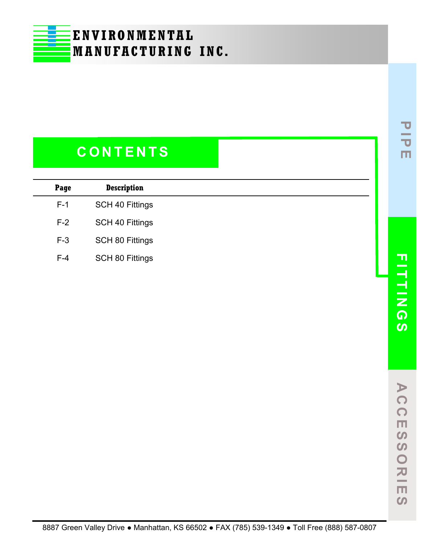### **C O N T E N T S**

| Page  | <b>Description</b>     |  |
|-------|------------------------|--|
| $F-1$ | SCH 40 Fittings        |  |
| $F-2$ | <b>SCH 40 Fittings</b> |  |
| $F-3$ | SCH 80 Fittings        |  |
| $F-4$ | SCH 80 Fittings        |  |

**PIPE**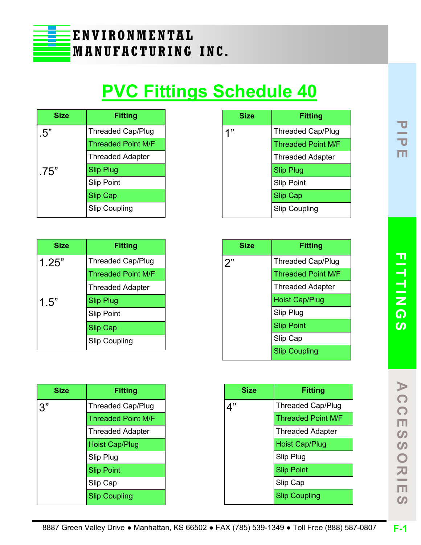

# **PVC Fittings Schedule 40**

| <b>Size</b> | <b>Fitting</b>            |
|-------------|---------------------------|
| .5"         | <b>Threaded Cap/Plug</b>  |
|             | <b>Threaded Point M/F</b> |
|             | <b>Threaded Adapter</b>   |
| .75"        | <b>Slip Plug</b>          |
|             | <b>Slip Point</b>         |
|             | <b>Slip Cap</b>           |
|             | <b>Slip Coupling</b>      |

| <b>Size</b> | <b>Fitting</b>            |
|-------------|---------------------------|
| 1"          | <b>Threaded Cap/Plug</b>  |
|             | <b>Threaded Point M/F</b> |
|             | <b>Threaded Adapter</b>   |
|             | <b>Slip Plug</b>          |
|             | <b>Slip Point</b>         |
|             | <b>Slip Cap</b>           |
|             | <b>Slip Coupling</b>      |

| Size  | <b>Fitting</b>            |
|-------|---------------------------|
| 1.25" | <b>Threaded Cap/Plug</b>  |
|       | <b>Threaded Point M/F</b> |
|       | <b>Threaded Adapter</b>   |
| 1.5"  | <b>Slip Plug</b>          |
|       | <b>Slip Point</b>         |
|       | <b>Slip Cap</b>           |
|       | <b>Slip Coupling</b>      |

| <b>Fitting</b>            |
|---------------------------|
| Threaded Cap/Plug         |
| <b>Threaded Point M/F</b> |
| <b>Threaded Adapter</b>   |
| <b>Hoist Cap/Plug</b>     |
| Slip Plug                 |
| <b>Slip Point</b>         |
| Slip Cap                  |
| <b>Slip Coupling</b>      |
|                           |

| <b>Size</b> | Fitting                   |
|-------------|---------------------------|
| 3"          | <b>Threaded Cap/Plug</b>  |
|             | <b>Threaded Point M/F</b> |
|             | <b>Threaded Adapter</b>   |
|             | <b>Hoist Cap/Plug</b>     |
|             | Slip Plug                 |
|             | <b>Slip Point</b>         |
|             | Slip Cap                  |
|             | <b>Slip Coupling</b>      |

| <b>Size</b> | <b>Fitting</b>            |
|-------------|---------------------------|
|             | <b>Threaded Cap/Plug</b>  |
|             | <b>Threaded Point M/F</b> |
|             | <b>Threaded Adapter</b>   |
|             | <b>Hoist Cap/Plug</b>     |
|             | Slip Plug                 |
|             | <b>Slip Point</b>         |
|             | Slip Cap                  |
|             | <b>Slip Coupling</b>      |

**A C C E S S O R I E S**

 $\overline{z}$  $\Box$  $\Omega$ 

 $\blacktriangleright$  $\Omega$  $\Omega$  $\Box$  $\boldsymbol{\omega}$  $\boldsymbol{\omega}$  $\overline{O}$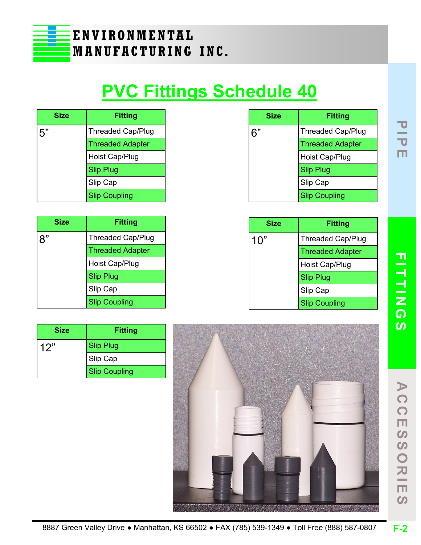

## **PVC Fittings Schedule 40**

| <b>Size</b> | <b>Fitting</b>           |
|-------------|--------------------------|
| 5"          | <b>Threaded Cap/Plug</b> |
|             | <b>Threaded Adapter</b>  |
|             | Hoist Cap/Plug           |
|             | <b>Slip Plug</b>         |
|             | Slip Cap                 |
|             | <b>Slip Coupling</b>     |

| <b>Size</b> | <b>Fitting</b>           |
|-------------|--------------------------|
| 6"          | <b>Threaded Cap/Plug</b> |
|             | <b>Threaded Adapter</b>  |
|             | Hoist Cap/Plug           |
|             | <b>Slip Plug</b>         |
|             | Slip Cap                 |
|             | <b>Slip Coupling</b>     |

| <b>Size</b> | <b>Fitting</b>           |
|-------------|--------------------------|
|             | <b>Threaded Cap/Plug</b> |
|             | <b>Threaded Adapter</b>  |
|             | Hoist Cap/Plug           |
|             | <b>Slip Plug</b>         |
|             | Slip Cap                 |
|             | <b>Slip Coupling</b>     |

| <b>Size</b> | <b>Fitting</b>           |
|-------------|--------------------------|
| 10"         | <b>Threaded Cap/Plug</b> |
|             | <b>Threaded Adapter</b>  |
|             | Hoist Cap/Plug           |
|             | <b>Slip Plug</b>         |
|             | Slip Cap                 |
|             | <b>Slip Coupling</b>     |

| Size | <b>Fitting</b>       |
|------|----------------------|
| 12"  | <b>Slip Plug</b>     |
|      | Slip Cap             |
|      | <b>Slip Coupling</b> |



**PIPE**

**A C C E S S O R I E S**

**SS** 

ORIE

 $\Omega$ 

 $\blacktriangleright$ 

CC

 $\overline{\mathbf{m}}$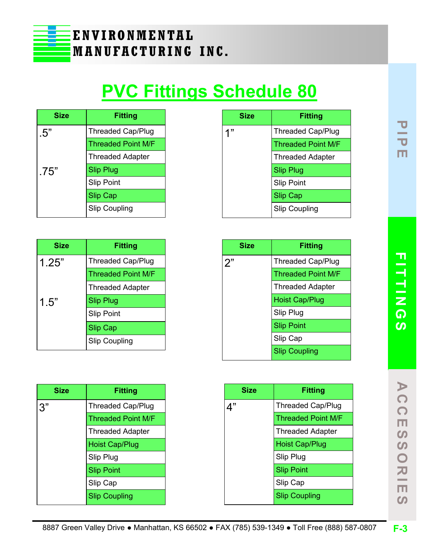

# **PVC Fittings Schedule 80**

| <b>Size</b> | <b>Fitting</b>            |
|-------------|---------------------------|
| .5"         | <b>Threaded Cap/Plug</b>  |
|             | <b>Threaded Point M/F</b> |
|             | <b>Threaded Adapter</b>   |
| .75"        | <b>Slip Plug</b>          |
|             | <b>Slip Point</b>         |
|             | <b>Slip Cap</b>           |
|             | <b>Slip Coupling</b>      |

| <b>Size</b> | <b>Fitting</b>            |
|-------------|---------------------------|
| 1.25"       | <b>Threaded Cap/Plug</b>  |
|             | <b>Threaded Point M/F</b> |
|             | <b>Threaded Adapter</b>   |
| 1.5"        | <b>Slip Plug</b>          |
|             | <b>Slip Point</b>         |
|             | <b>Slip Cap</b>           |
|             | <b>Slip Coupling</b>      |

| <b>Size</b> | <b>Fitting</b>            |
|-------------|---------------------------|
| ננ ו        | <b>Threaded Cap/Plug</b>  |
|             | <b>Threaded Point M/F</b> |
|             | <b>Threaded Adapter</b>   |
|             | <b>Slip Plug</b>          |
|             | <b>Slip Point</b>         |
|             | <b>Slip Cap</b>           |
|             | <b>Slip Coupling</b>      |

| <b>Size</b> | <b>Fitting</b>            |
|-------------|---------------------------|
| 2"          | <b>Threaded Cap/Plug</b>  |
|             | <b>Threaded Point M/F</b> |
|             | <b>Threaded Adapter</b>   |
|             | <b>Hoist Cap/Plug</b>     |
|             | Slip Plug                 |
|             | <b>Slip Point</b>         |
|             | Slip Cap                  |
|             | <b>Slip Coupling</b>      |

| <b>Size</b> | <b>Fitting</b>            |
|-------------|---------------------------|
|             | <b>Threaded Cap/Plug</b>  |
|             | <b>Threaded Point M/F</b> |
|             | <b>Threaded Adapter</b>   |
|             | <b>Hoist Cap/Plug</b>     |
|             | Slip Plug                 |
|             | <b>Slip Point</b>         |
|             | Slip Cap                  |
|             | <b>Slip Coupling</b>      |

| <b>Size</b> | <b>Fitting</b>            |
|-------------|---------------------------|
|             | <b>Threaded Cap/Plug</b>  |
|             | <b>Threaded Point M/F</b> |
|             | <b>Threaded Adapter</b>   |
|             | <b>Hoist Cap/Plug</b>     |
|             | Slip Plug                 |
|             | <b>Slip Point</b>         |
|             | Slip Cap                  |
|             | <b>Slip Coupling</b>      |

**F-3**